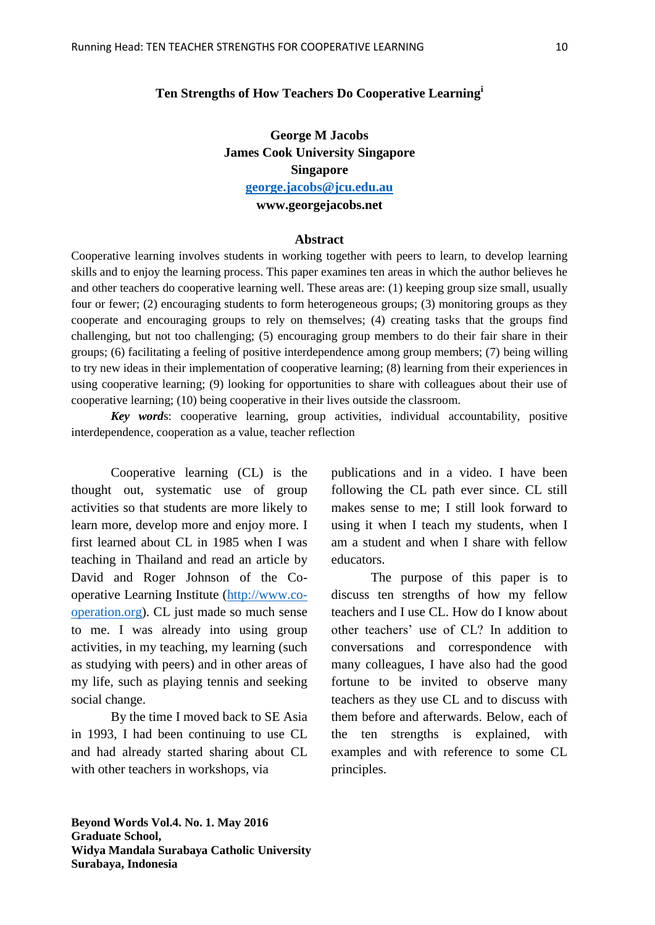## **Ten Strengths of How Teachers Do Cooperative Learning<sup>i</sup>**

**George M Jacobs James Cook University Singapore Singapore [george.jacobs@jcu.edu.au](mailto:george.jacobs@jcu.edu.au) www.georgejacobs.net**

#### **Abstract**

Cooperative learning involves students in working together with peers to learn, to develop learning skills and to enjoy the learning process. This paper examines ten areas in which the author believes he and other teachers do cooperative learning well. These areas are: (1) keeping group size small, usually four or fewer; (2) encouraging students to form heterogeneous groups; (3) monitoring groups as they cooperate and encouraging groups to rely on themselves; (4) creating tasks that the groups find challenging, but not too challenging; (5) encouraging group members to do their fair share in their groups; (6) facilitating a feeling of positive interdependence among group members; (7) being willing to try new ideas in their implementation of cooperative learning; (8) learning from their experiences in using cooperative learning; (9) looking for opportunities to share with colleagues about their use of cooperative learning; (10) being cooperative in their lives outside the classroom.

*Key word*s: cooperative learning, group activities, individual accountability, positive interdependence, cooperation as a value, teacher reflection

Cooperative learning (CL) is the thought out, systematic use of group activities so that students are more likely to learn more, develop more and enjoy more. I first learned about CL in 1985 when I was teaching in Thailand and read an article by David and Roger Johnson of the Cooperative Learning Institute [\(http://www.co](http://www.co-operation.org/)[operation.org\)](http://www.co-operation.org/). CL just made so much sense to me. I was already into using group activities, in my teaching, my learning (such as studying with peers) and in other areas of my life, such as playing tennis and seeking social change.

By the time I moved back to SE Asia in 1993, I had been continuing to use CL and had already started sharing about CL with other teachers in workshops, via

publications and in a video. I have been following the CL path ever since. CL still makes sense to me; I still look forward to using it when I teach my students, when I am a student and when I share with fellow educators.

The purpose of this paper is to discuss ten strengths of how my fellow teachers and I use CL. How do I know about other teachers' use of CL? In addition to conversations and correspondence with many colleagues, I have also had the good fortune to be invited to observe many teachers as they use CL and to discuss with them before and afterwards. Below, each of the ten strengths is explained, with examples and with reference to some CL principles.

**Beyond Words Vol.4. No. 1. May 2016 Graduate School, Widya Mandala Surabaya Catholic University Surabaya, Indonesia**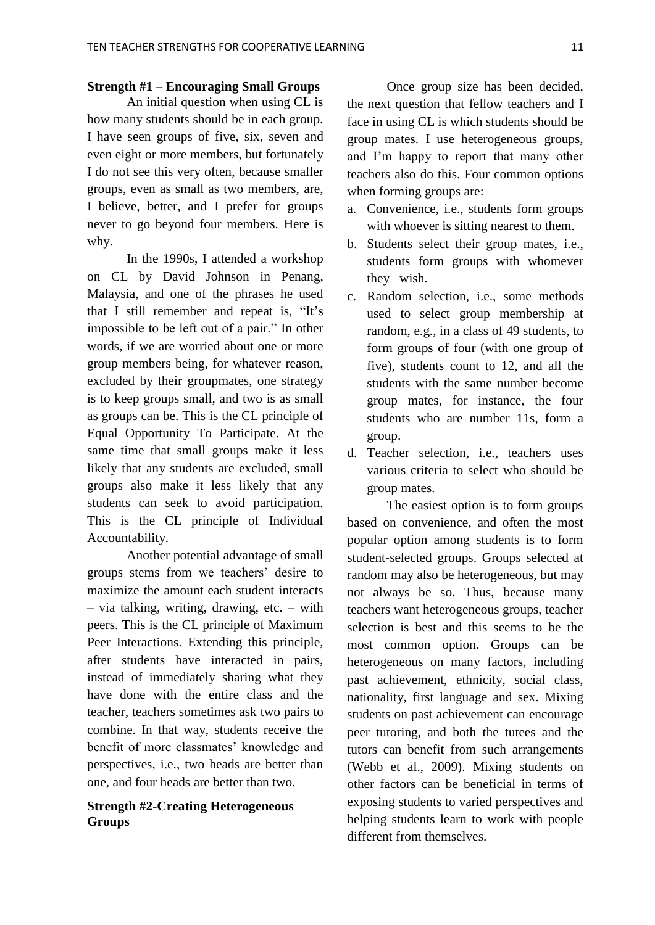### **Strength #1 – Encouraging Small Groups**

An initial question when using CL is how many students should be in each group. I have seen groups of five, six, seven and even eight or more members, but fortunately I do not see this very often, because smaller groups, even as small as two members, are, I believe, better, and I prefer for groups never to go beyond four members. Here is why.

In the 1990s, I attended a workshop on CL by David Johnson in Penang, Malaysia, and one of the phrases he used that I still remember and repeat is, "It's impossible to be left out of a pair." In other words, if we are worried about one or more group members being, for whatever reason, excluded by their groupmates, one strategy is to keep groups small, and two is as small as groups can be. This is the CL principle of Equal Opportunity To Participate. At the same time that small groups make it less likely that any students are excluded, small groups also make it less likely that any students can seek to avoid participation. This is the CL principle of Individual Accountability.

Another potential advantage of small groups stems from we teachers' desire to maximize the amount each student interacts – via talking, writing, drawing, etc. – with peers. This is the CL principle of Maximum Peer Interactions. Extending this principle, after students have interacted in pairs, instead of immediately sharing what they have done with the entire class and the teacher, teachers sometimes ask two pairs to combine. In that way, students receive the benefit of more classmates' knowledge and perspectives, i.e., two heads are better than one, and four heads are better than two.

## **Strength #2-Creating Heterogeneous Groups**

Once group size has been decided, the next question that fellow teachers and I face in using CL is which students should be group mates. I use heterogeneous groups, and I'm happy to report that many other teachers also do this. Four common options when forming groups are:

- a. Convenience, i.e., students form groups with whoever is sitting nearest to them.
- b. Students select their group mates, i.e., students form groups with whomever they wish.
- c. Random selection, i.e., some methods used to select group membership at random, e.g., in a class of 49 students, to form groups of four (with one group of five), students count to 12, and all the students with the same number become group mates, for instance, the four students who are number 11s, form a group.
- d. Teacher selection, i.e., teachers uses various criteria to select who should be group mates.

The easiest option is to form groups based on convenience, and often the most popular option among students is to form student-selected groups. Groups selected at random may also be heterogeneous, but may not always be so. Thus, because many teachers want heterogeneous groups, teacher selection is best and this seems to be the most common option. Groups can be heterogeneous on many factors, including past achievement, ethnicity, social class, nationality, first language and sex. Mixing students on past achievement can encourage peer tutoring, and both the tutees and the tutors can benefit from such arrangements (Webb et al., 2009). Mixing students on other factors can be beneficial in terms of exposing students to varied perspectives and helping students learn to work with people different from themselves.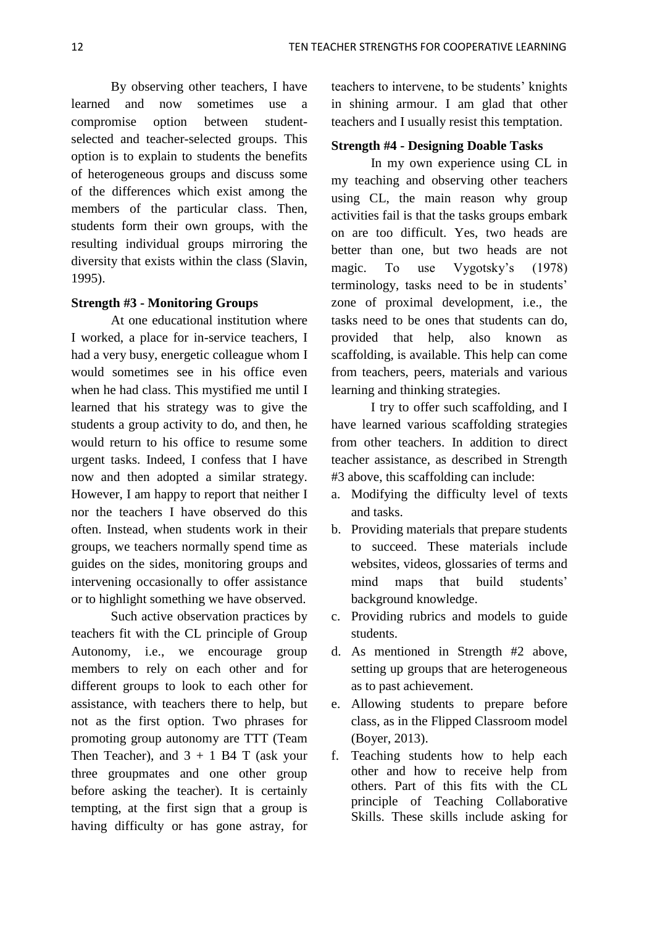By observing other teachers, I have learned and now sometimes use a compromise option between studentselected and teacher-selected groups. This option is to explain to students the benefits of heterogeneous groups and discuss some of the differences which exist among the members of the particular class. Then, students form their own groups, with the resulting individual groups mirroring the diversity that exists within the class (Slavin, 1995).

## **Strength #3 - Monitoring Groups**

At one educational institution where I worked, a place for in-service teachers, I had a very busy, energetic colleague whom I would sometimes see in his office even when he had class. This mystified me until I learned that his strategy was to give the students a group activity to do, and then, he would return to his office to resume some urgent tasks. Indeed, I confess that I have now and then adopted a similar strategy. However, I am happy to report that neither I nor the teachers I have observed do this often. Instead, when students work in their groups, we teachers normally spend time as guides on the sides, monitoring groups and intervening occasionally to offer assistance or to highlight something we have observed.

Such active observation practices by teachers fit with the CL principle of Group Autonomy, i.e., we encourage group members to rely on each other and for different groups to look to each other for assistance, with teachers there to help, but not as the first option. Two phrases for promoting group autonomy are TTT (Team Then Teacher), and  $3 + 1$  B4 T (ask your three groupmates and one other group before asking the teacher). It is certainly tempting, at the first sign that a group is having difficulty or has gone astray, for

teachers to intervene, to be students' knights in shining armour. I am glad that other teachers and I usually resist this temptation.

## **Strength #4 - Designing Doable Tasks**

In my own experience using CL in my teaching and observing other teachers using CL, the main reason why group activities fail is that the tasks groups embark on are too difficult. Yes, two heads are better than one, but two heads are not magic. To use Vygotsky's (1978) terminology, tasks need to be in students' zone of proximal development, i.e., the tasks need to be ones that students can do, provided that help, also known as scaffolding, is available. This help can come from teachers, peers, materials and various learning and thinking strategies.

I try to offer such scaffolding, and I have learned various scaffolding strategies from other teachers. In addition to direct teacher assistance, as described in Strength #3 above, this scaffolding can include:

- a. Modifying the difficulty level of texts and tasks.
- b. Providing materials that prepare students to succeed. These materials include websites, videos, glossaries of terms and mind maps that build students' background knowledge.
- c. Providing rubrics and models to guide students.
- d. As mentioned in Strength #2 above, setting up groups that are heterogeneous as to past achievement.
- e. Allowing students to prepare before class, as in the Flipped Classroom model (Boyer, 2013).
- f. Teaching students how to help each other and how to receive help from others. Part of this fits with the CL principle of Teaching Collaborative Skills. These skills include asking for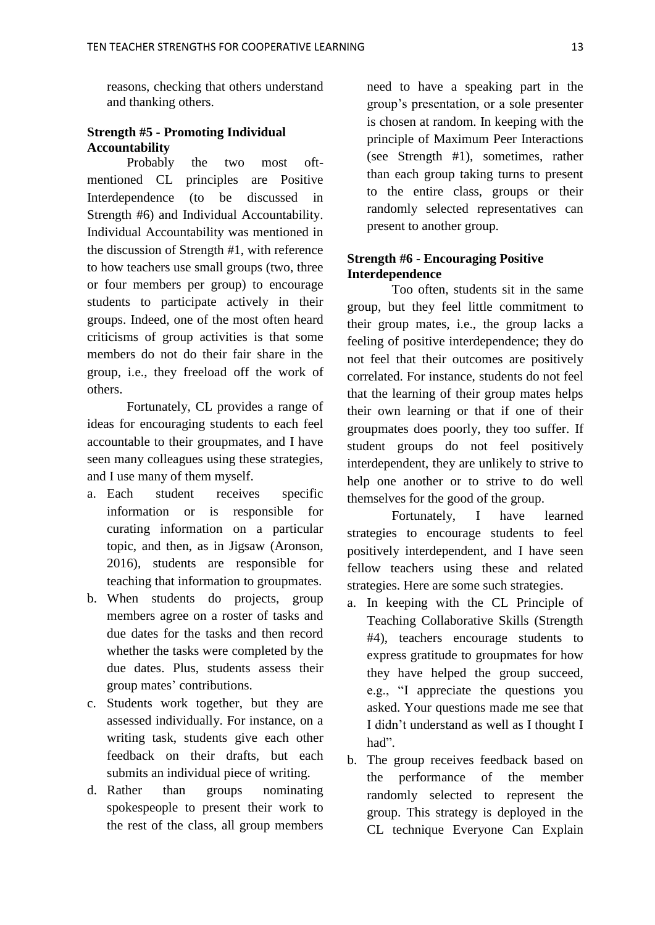reasons, checking that others understand and thanking others.

# **Strength #5 - Promoting Individual Accountability**

Probably the two most oftmentioned CL principles are Positive Interdependence (to be discussed in Strength #6) and Individual Accountability. Individual Accountability was mentioned in the discussion of Strength #1, with reference to how teachers use small groups (two, three or four members per group) to encourage students to participate actively in their groups. Indeed, one of the most often heard criticisms of group activities is that some members do not do their fair share in the group, i.e., they freeload off the work of others.

Fortunately, CL provides a range of ideas for encouraging students to each feel accountable to their groupmates, and I have seen many colleagues using these strategies, and I use many of them myself.

- a. Each student receives specific information or is responsible for curating information on a particular topic, and then, as in Jigsaw (Aronson, 2016), students are responsible for teaching that information to groupmates.
- b. When students do projects, group members agree on a roster of tasks and due dates for the tasks and then record whether the tasks were completed by the due dates. Plus, students assess their group mates' contributions.
- c. Students work together, but they are assessed individually. For instance, on a writing task, students give each other feedback on their drafts, but each submits an individual piece of writing.
- d. Rather than groups nominating spokespeople to present their work to the rest of the class, all group members

need to have a speaking part in the group's presentation, or a sole presenter is chosen at random. In keeping with the principle of Maximum Peer Interactions (see Strength #1), sometimes, rather than each group taking turns to present to the entire class, groups or their randomly selected representatives can present to another group.

## **Strength #6 - Encouraging Positive Interdependence**

Too often, students sit in the same group, but they feel little commitment to their group mates, i.e., the group lacks a feeling of positive interdependence; they do not feel that their outcomes are positively correlated. For instance, students do not feel that the learning of their group mates helps their own learning or that if one of their groupmates does poorly, they too suffer. If student groups do not feel positively interdependent, they are unlikely to strive to help one another or to strive to do well themselves for the good of the group.

Fortunately, I have learned strategies to encourage students to feel positively interdependent, and I have seen fellow teachers using these and related strategies. Here are some such strategies.

- a. In keeping with the CL Principle of Teaching Collaborative Skills (Strength #4), teachers encourage students to express gratitude to groupmates for how they have helped the group succeed, e.g., "I appreciate the questions you asked. Your questions made me see that I didn't understand as well as I thought I had".
- b. The group receives feedback based on the performance of the member randomly selected to represent the group. This strategy is deployed in the CL technique Everyone Can Explain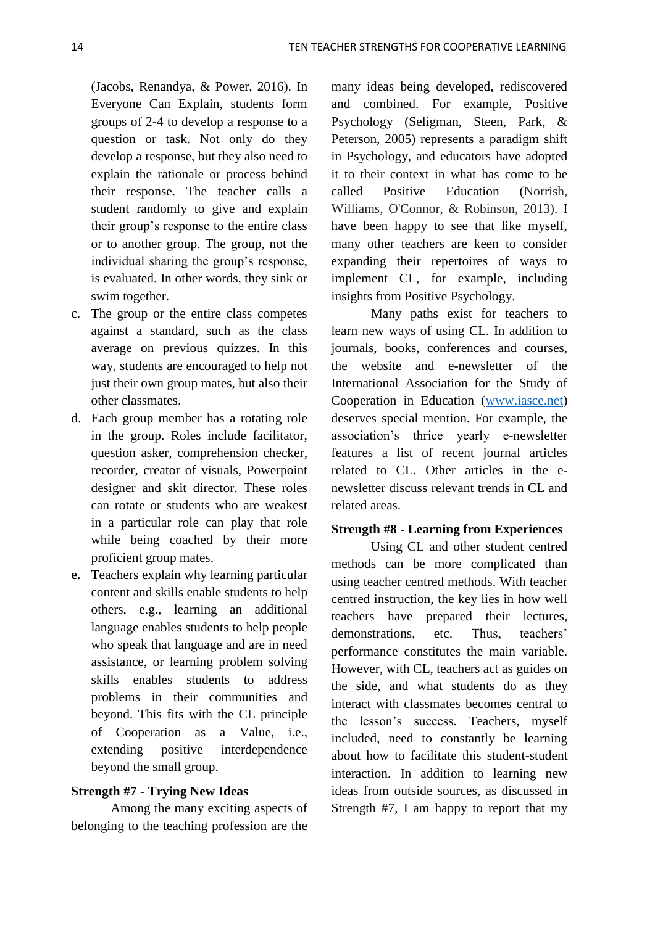(Jacobs, Renandya, & Power, 2016). In Everyone Can Explain, students form groups of 2-4 to develop a response to a question or task. Not only do they develop a response, but they also need to explain the rationale or process behind their response. The teacher calls a student randomly to give and explain their group's response to the entire class or to another group. The group, not the individual sharing the group's response, is evaluated. In other words, they sink or swim together.

- c. The group or the entire class competes against a standard, such as the class average on previous quizzes. In this way, students are encouraged to help not just their own group mates, but also their other classmates.
- d. Each group member has a rotating role in the group. Roles include facilitator, question asker, comprehension checker, recorder, creator of visuals, Powerpoint designer and skit director. These roles can rotate or students who are weakest in a particular role can play that role while being coached by their more proficient group mates.
- **e.** Teachers explain why learning particular content and skills enable students to help others, e.g., learning an additional language enables students to help people who speak that language and are in need assistance, or learning problem solving skills enables students to address problems in their communities and beyond. This fits with the CL principle of Cooperation as a Value, i.e., extending positive interdependence beyond the small group.

### **Strength #7 - Trying New Ideas**

Among the many exciting aspects of belonging to the teaching profession are the

many ideas being developed, rediscovered and combined. For example, Positive Psychology (Seligman, Steen, Park, & Peterson, 2005) represents a paradigm shift in Psychology, and educators have adopted it to their context in what has come to be called Positive Education (Norrish, Williams, O'Connor, & Robinson, 2013). I have been happy to see that like myself, many other teachers are keen to consider expanding their repertoires of ways to implement CL, for example, including insights from Positive Psychology.

Many paths exist for teachers to learn new ways of using CL. In addition to journals, books, conferences and courses, the website and e-newsletter of the International Association for the Study of Cooperation in Education [\(www.iasce.net\)](http://www.iasce.net/) deserves special mention. For example, the association's thrice yearly e-newsletter features a list of recent journal articles related to CL. Other articles in the enewsletter discuss relevant trends in CL and related areas.

#### **Strength #8 - Learning from Experiences**

Using CL and other student centred methods can be more complicated than using teacher centred methods. With teacher centred instruction, the key lies in how well teachers have prepared their lectures, demonstrations, etc. Thus, teachers' performance constitutes the main variable. However, with CL, teachers act as guides on the side, and what students do as they interact with classmates becomes central to the lesson's success. Teachers, myself included, need to constantly be learning about how to facilitate this student-student interaction. In addition to learning new ideas from outside sources, as discussed in Strength #7, I am happy to report that my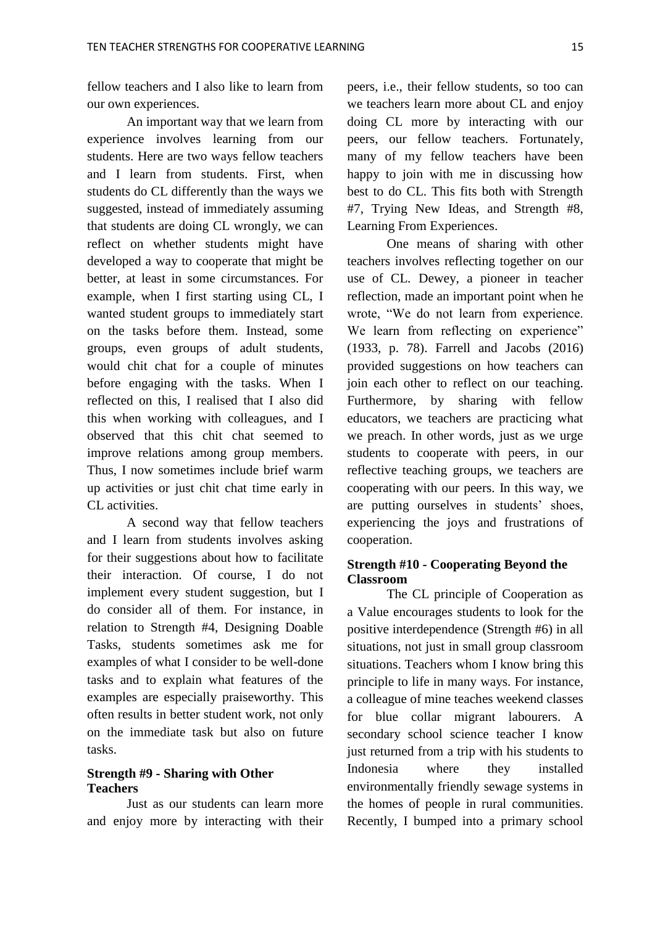fellow teachers and I also like to learn from our own experiences.

An important way that we learn from experience involves learning from our students. Here are two ways fellow teachers and I learn from students. First, when students do CL differently than the ways we suggested, instead of immediately assuming that students are doing CL wrongly, we can reflect on whether students might have developed a way to cooperate that might be better, at least in some circumstances. For example, when I first starting using CL, I wanted student groups to immediately start on the tasks before them. Instead, some groups, even groups of adult students, would chit chat for a couple of minutes before engaging with the tasks. When I reflected on this, I realised that I also did this when working with colleagues, and I observed that this chit chat seemed to improve relations among group members. Thus, I now sometimes include brief warm up activities or just chit chat time early in CL activities.

A second way that fellow teachers and I learn from students involves asking for their suggestions about how to facilitate their interaction. Of course, I do not implement every student suggestion, but I do consider all of them. For instance, in relation to Strength #4, Designing Doable Tasks, students sometimes ask me for examples of what I consider to be well-done tasks and to explain what features of the examples are especially praiseworthy. This often results in better student work, not only on the immediate task but also on future tasks.

## **Strength #9 - Sharing with Other Teachers**

Just as our students can learn more and enjoy more by interacting with their

peers, i.e., their fellow students, so too can we teachers learn more about CL and enjoy doing CL more by interacting with our peers, our fellow teachers. Fortunately, many of my fellow teachers have been happy to join with me in discussing how best to do CL. This fits both with Strength #7, Trying New Ideas, and Strength #8, Learning From Experiences.

One means of sharing with other teachers involves reflecting together on our use of CL. Dewey, a pioneer in teacher reflection, made an important point when he wrote, "We do not learn from experience. We learn from reflecting on experience" (1933, p. 78). Farrell and Jacobs (2016) provided suggestions on how teachers can join each other to reflect on our teaching. Furthermore, by sharing with fellow educators, we teachers are practicing what we preach. In other words, just as we urge students to cooperate with peers, in our reflective teaching groups, we teachers are cooperating with our peers. In this way, we are putting ourselves in students' shoes, experiencing the joys and frustrations of cooperation.

## **Strength #10 - Cooperating Beyond the Classroom**

The CL principle of Cooperation as a Value encourages students to look for the positive interdependence (Strength #6) in all situations, not just in small group classroom situations. Teachers whom I know bring this principle to life in many ways. For instance, a colleague of mine teaches weekend classes for blue collar migrant labourers. A secondary school science teacher I know just returned from a trip with his students to Indonesia where they installed environmentally friendly sewage systems in the homes of people in rural communities. Recently, I bumped into a primary school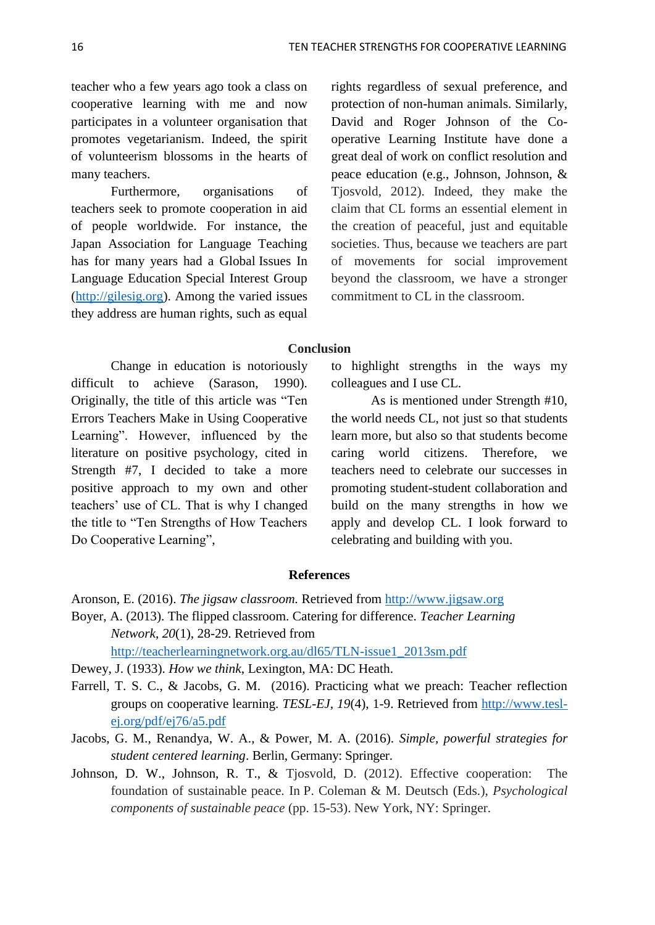teacher who a few years ago took a class on cooperative learning with me and now participates in a volunteer organisation that promotes vegetarianism. Indeed, the spirit of volunteerism blossoms in the hearts of many teachers.

Furthermore, organisations of teachers seek to promote cooperation in aid of people worldwide. For instance, the Japan Association for Language Teaching has for many years had a Global Issues In Language Education Special Interest Group [\(http://gilesig.org\)](http://gilesig.org/). Among the varied issues they address are human rights, such as equal

rights regardless of sexual preference, and protection of non-human animals. Similarly, David and Roger Johnson of the Cooperative Learning Institute have done a great deal of work on conflict resolution and peace education (e.g., Johnson, Johnson, & Tjosvold, 2012). Indeed, they make the claim that CL forms an essential element in the creation of peaceful, just and equitable societies. Thus, because we teachers are part of movements for social improvement beyond the classroom, we have a stronger commitment to CL in the classroom.

#### **Conclusion**

Change in education is notoriously difficult to achieve (Sarason, 1990). Originally, the title of this article was "Ten Errors Teachers Make in Using Cooperative Learning". However, influenced by the literature on positive psychology, cited in Strength #7, I decided to take a more positive approach to my own and other teachers' use of CL. That is why I changed the title to "Ten Strengths of How Teachers Do Cooperative Learning",

to highlight strengths in the ways my colleagues and I use CL.

As is mentioned under Strength #10, the world needs CL, not just so that students learn more, but also so that students become caring world citizens. Therefore, we teachers need to celebrate our successes in promoting student-student collaboration and build on the many strengths in how we apply and develop CL. I look forward to celebrating and building with you.

#### **References**

- Aronson, E. (2016). *The jigsaw classroom.* Retrieved from [http://www.jigsaw.org](http://www.jigsaw.org/)
- Boyer, A. (2013). The flipped classroom. Catering for difference. *Teacher Learning Network*, *20*(1), 28-29. Retrieved from

[http://teacherlearningnetwork.org.au/dl65/TLN-issue1\\_2013sm.pdf](http://teacherlearningnetwork.org.au/dl65/TLN-issue1_2013sm.pdf)

- Dewey, J. (1933). *How we think*, Lexington, MA: DC Heath.
- Farrell, T. S. C., & Jacobs, G. M. (2016). Practicing what we preach: Teacher reflection groups on cooperative learning. *TESL-EJ, 19*(4), 1-9. Retrieved from [http://www.tesl](http://www.tesl-ej.org/pdf/ej76/a5.pdf)[ej.org/pdf/ej76/a5.pdf](http://www.tesl-ej.org/pdf/ej76/a5.pdf)
- Jacobs, G. M., Renandya, W. A., & Power, M. A. (2016). *Simple, powerful strategies for student centered learning*. Berlin, Germany: Springer.
- Johnson, D. W., Johnson, R. T., & Tjosvold, D. (2012). Effective cooperation: The foundation of sustainable peace. In P. Coleman & M. Deutsch (Eds.), *Psychological components of sustainable peace* (pp. 15-53). New York, NY: Springer.